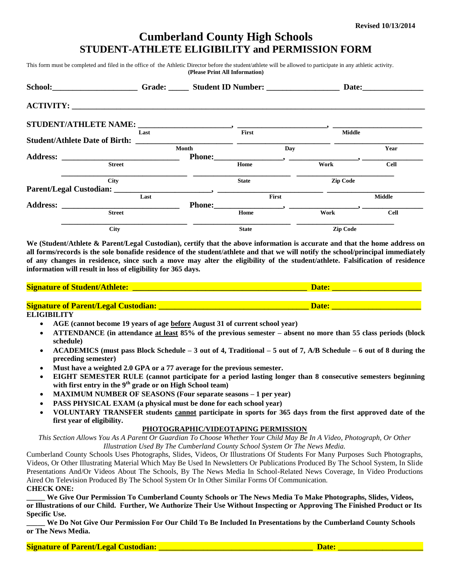# **Cumberland County High Schools STUDENT-ATHLETE ELIGIBILITY and PERMISSION FORM**

This form must be completed and filed in the office of the Athletic Director before the student/athlete will be allowed to participate in any athletic activity. **(Please Print All Information)**

| School: Grade: Grade: Student ID Number: |      |                                 |                                                                                                                                                                                                                                                                                                                                                 |      | Date: the contract of the contract of the contract of the contract of the contract of the contract of the contract of the contract of the contract of the contract of the contract of the contract of the contract of the cont |               |
|------------------------------------------|------|---------------------------------|-------------------------------------------------------------------------------------------------------------------------------------------------------------------------------------------------------------------------------------------------------------------------------------------------------------------------------------------------|------|--------------------------------------------------------------------------------------------------------------------------------------------------------------------------------------------------------------------------------|---------------|
|                                          |      |                                 |                                                                                                                                                                                                                                                                                                                                                 |      |                                                                                                                                                                                                                                |               |
|                                          |      |                                 |                                                                                                                                                                                                                                                                                                                                                 |      |                                                                                                                                                                                                                                |               |
|                                          | Last |                                 | First                                                                                                                                                                                                                                                                                                                                           |      | <b>Middle</b>                                                                                                                                                                                                                  |               |
|                                          |      |                                 |                                                                                                                                                                                                                                                                                                                                                 |      |                                                                                                                                                                                                                                |               |
|                                          |      | Month                           |                                                                                                                                                                                                                                                                                                                                                 | Day  |                                                                                                                                                                                                                                | Year          |
|                                          |      |                                 |                                                                                                                                                                                                                                                                                                                                                 |      |                                                                                                                                                                                                                                |               |
| <b>Street</b>                            |      |                                 | Home                                                                                                                                                                                                                                                                                                                                            | Work |                                                                                                                                                                                                                                | <b>Cell</b>   |
| <b>City</b>                              |      | <b>State</b>                    |                                                                                                                                                                                                                                                                                                                                                 |      | <b>Zip Code</b>                                                                                                                                                                                                                |               |
|                                          |      |                                 |                                                                                                                                                                                                                                                                                                                                                 |      |                                                                                                                                                                                                                                |               |
|                                          | Last |                                 | First                                                                                                                                                                                                                                                                                                                                           |      |                                                                                                                                                                                                                                | <b>Middle</b> |
|                                          |      |                                 | Phone: $\qquad \qquad$ $\qquad \qquad$ $\qquad$ $\qquad$ $\qquad$ $\qquad$ $\qquad$ $\qquad$ $\qquad$ $\qquad$ $\qquad$ $\qquad$ $\qquad$ $\qquad$ $\qquad$ $\qquad$ $\qquad$ $\qquad$ $\qquad$ $\qquad$ $\qquad$ $\qquad$ $\qquad$ $\qquad$ $\qquad$ $\qquad$ $\qquad$ $\qquad$ $\qquad$ $\qquad$ $\qquad$ $\qquad$ $\qquad$ $\qquad$ $\qquad$ |      |                                                                                                                                                                                                                                |               |
| <b>Street</b>                            |      |                                 | Home                                                                                                                                                                                                                                                                                                                                            | Work |                                                                                                                                                                                                                                | <b>Cell</b>   |
| <b>City</b>                              |      | <b>Zip Code</b><br><b>State</b> |                                                                                                                                                                                                                                                                                                                                                 |      |                                                                                                                                                                                                                                |               |

**We (Student/Athlete & Parent/Legal Custodian), certify that the above information is accurate and that the home address on all forms/records is the sole bonafide residence of the student/athlete and that we will notify the school/principal immediately of any changes in residence, since such a move may alter the eligibility of the student/athlete. Falsification of residence information will result in loss of eligibility for 365 days.**

| <b>Signature of Student/Athlete:</b>        | <b>Date</b> |
|---------------------------------------------|-------------|
|                                             |             |
| <b>Signature of Parent/Legal Custodian:</b> | Date:       |

**ELIGIBILITY**

- **AGE (cannot become 19 years of age before August 31 of current school year)**
- **ATTENDANCE (in attendance at least 85% of the previous semester – absent no more than 55 class periods (block schedule)**
- **ACADEMICS (must pass Block Schedule – 3 out of 4, Traditional – 5 out of 7, A/B Schedule – 6 out of 8 during the preceding semester)**
- **Must have a weighted 2.0 GPA or a 77 average for the previous semester.**
- **EIGHT SEMESTER RULE (cannot participate for a period lasting longer than 8 consecutive semesters beginning with first entry in the 9th grade or on High School team)**
- **MAXIMUM NUMBER OF SEASONS (Four separate seasons – 1 per year)**
- **PASS PHYSICAL EXAM (a physical must be done for each school year)**
- **VOLUNTARY TRANSFER students cannot participate in sports for 365 days from the first approved date of the first year of eligibility.**

#### **PHOTOGRAPHIC/VIDEOTAPING PERMISSION**

*This Section Allows You As A Parent Or Guardian To Choose Whether Your Child May Be In A Video, Photograph, Or Other Illustration Used By The Cumberland County School System Or The News Media.*

Cumberland County Schools Uses Photographs, Slides, Videos, Or Illustrations Of Students For Many Purposes Such Photographs, Videos, Or Other Illustrating Material Which May Be Used In Newsletters Or Publications Produced By The School System, In Slide Presentations And/Or Videos About The Schools, By The News Media In School-Related News Coverage, In Video Productions Aired On Television Produced By The School System Or In Other Similar Forms Of Communication. **CHECK ONE:**

We Give Our Permission To Cumberland County Schools or The News Media To Make Photographs, Slides, Videos, **or Illustrations of our Child. Further, We Authorize Their Use Without Inspecting or Approving The Finished Product or Its Specific Use.**

**\_\_\_\_\_ We Do Not Give Our Permission For Our Child To Be Included In Presentations by the Cumberland County Schools or The News Media.** 

**Signature of Parent/Legal Custodian: \_\_\_\_\_\_\_\_\_\_\_\_\_\_\_\_\_\_\_\_\_\_\_\_\_\_\_\_\_\_\_\_\_\_\_\_\_\_ Date: \_\_\_\_\_\_\_\_\_\_\_\_\_\_\_\_\_\_\_\_\_**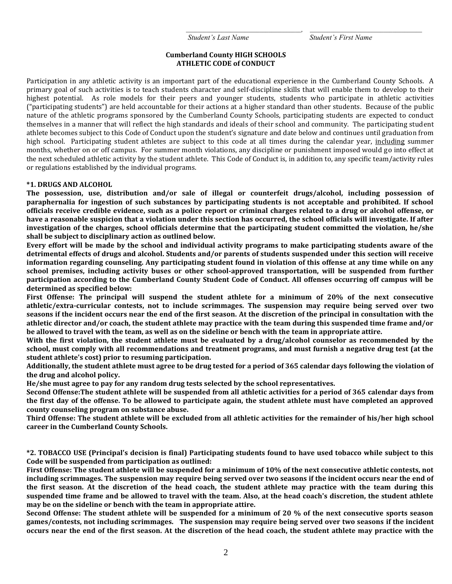*Student's Last Name Student's First Name*

*\_\_\_\_\_\_\_\_\_\_\_\_\_\_\_\_\_\_\_\_\_\_\_\_\_\_\_\_\_\_\_\_\_\_\_\_\_\_\_, \_\_\_\_\_\_\_\_\_\_\_\_\_\_\_\_\_\_\_\_\_\_\_\_\_\_\_\_\_\_\_\_\_\_\_\_\_\_*

### **Cumberland County HIGH SCHOOLS ATHLETIC CODE of CONDUCT**

Participation in any athletic activity is an important part of the educational experience in the Cumberland County Schools. A primary goal of such activities is to teach students character and self-discipline skills that will enable them to develop to their highest potential. As role models for their peers and younger students, students who participate in athletic activities ("participating students") are held accountable for their actions at a higher standard than other students. Because of the public nature of the athletic programs sponsored by the Cumberland County Schools, participating students are expected to conduct themselves in a manner that will reflect the high standards and ideals of their school and community. The participating student athlete becomes subject to this Code of Conduct upon the student's signature and date below and continues until graduation from high school. Participating student athletes are subject to this code at all times during the calendar year, including summer months, whether on or off campus. For summer month violations, any discipline or punishment imposed would go into effect at the next scheduled athletic activity by the student athlete. This Code of Conduct is, in addition to, any specific team/activity rules or regulations established by the individual programs.

### **\*1. DRUGS AND ALCOHOL**

**The possession, use, distribution and/or sale of illegal or counterfeit drugs/alcohol, including possession of paraphernalia for ingestion of such substances by participating students is not acceptable and prohibited. If school officials receive credible evidence, such as a police report or criminal charges related to a drug or alcohol offense, or have a reasonable suspicion that a violation under this section has occurred, the school officials will investigate. If after investigation of the charges, school officials determine that the participating student committed the violation, he/she shall be subject to disciplinary action as outlined below.**

**Every effort will be made by the school and individual activity programs to make participating students aware of the detrimental effects of drugs and alcohol. Students and/or parents of students suspended under this section will receive information regarding counseling. Any participating student found in violation of this offense at any time while on any school premises, including activity buses or other school-approved transportation, will be suspended from further participation according to the Cumberland County Student Code of Conduct. All offenses occurring off campus will be determined as specified below:**

**First Offense: The principal will suspend the student athlete for a minimum of 20% of the next consecutive athletic/extra-curricular contests, not to include scrimmages. The suspension may require being served over two seasons if the incident occurs near the end of the first season. At the discretion of the principal in consultation with the athletic director and/or coach, the student athlete may practice with the team during this suspended time frame and/or be allowed to travel with the team, as well as on the sideline or bench with the team in appropriate attire.**

**With the first violation, the student athlete must be evaluated by a drug/alcohol counselor as recommended by the school, must comply with all recommendations and treatment programs, and must furnish a negative drug test (at the student athlete's cost) prior to resuming participation.**

**Additionally, the student athlete must agree to be drug tested for a period of 365 calendar days following the violation of the drug and alcohol policy.** 

**He/she must agree to pay for any random drug tests selected by the school representatives.**

**Second Offense:The student athlete will be suspended from all athletic activities for a period of 365 calendar days from the first day of the offense. To be allowed to participate again, the student athlete must have completed an approved county counseling program on substance abuse.**

**Third Offense: The student athlete will be excluded from all athletic activities for the remainder of his/her high school career in the Cumberland County Schools.**

**\*2. TOBACCO USE (Principal's decision is final) Participating students found to have used tobacco while subject to this Code will be suspended from participation as outlined:**

**First Offense: The student athlete will be suspended for a minimum of 10% of the next consecutive athletic contests, not including scrimmages. The suspension may require being served over two seasons if the incident occurs near the end of the first season. At the discretion of the head coach, the student athlete may practice with the team during this suspended time frame and be allowed to travel with the team. Also, at the head coach's discretion, the student athlete may be on the sideline or bench with the team in appropriate attire.**

**Second Offense: The student athlete will be suspended for a minimum of 20 % of the next consecutive sports season games/contests, not including scrimmages. The suspension may require being served over two seasons if the incident occurs near the end of the first season. At the discretion of the head coach, the student athlete may practice with the**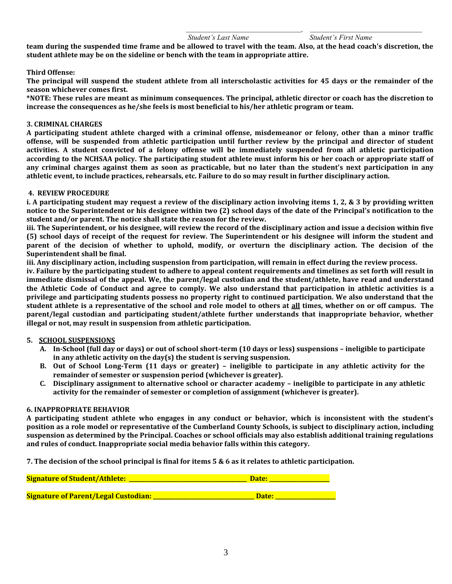#### *Student's Last Name Student's First Name*

*\_\_\_\_\_\_\_\_\_\_\_\_\_\_\_\_\_\_\_\_\_\_\_\_\_\_\_\_\_\_\_\_\_\_\_\_\_\_\_, \_\_\_\_\_\_\_\_\_\_\_\_\_\_\_\_\_\_\_\_\_\_\_\_\_\_\_\_\_\_\_\_\_\_\_\_\_\_*

**team during the suspended time frame and be allowed to travel with the team. Also, at the head coach's discretion, the student athlete may be on the sideline or bench with the team in appropriate attire.**

## **Third Offense:**

**The principal will suspend the student athlete from all interscholastic activities for 45 days or the remainder of the season whichever comes first.**

**\*NOTE: These rules are meant as minimum consequences. The principal, athletic director or coach has the discretion to increase the consequences as he/she feels is most beneficial to his/her athletic program or team.**

#### **3. CRIMINAL CHARGES**

**A participating student athlete charged with a criminal offense, misdemeanor or felony, other than a minor traffic offense, will be suspended from athletic participation until further review by the principal and director of student activities. A student convicted of a felony offense will be immediately suspended from all athletic participation according to the NCHSAA policy. The participating student athlete must inform his or her coach or appropriate staff of any criminal charges against them as soon as practicable, but no later than the student's next participation in any athletic event, to include practices, rehearsals, etc. Failure to do so may result in further disciplinary action.**

#### **4. REVIEW PROCEDURE**

**i. A participating student may request a review of the disciplinary action involving items 1, 2, & 3 by providing written notice to the Superintendent or his designee within two (2) school days of the date of the Principal's notification to the student and/or parent. The notice shall state the reason for the review.**

**iii. The Superintendent, or his designee, will review the record of the disciplinary action and issue a decision within five (5) school days of receipt of the request for review. The Superintendent or his designee will inform the student and parent of the decision of whether to uphold, modify, or overturn the disciplinary action. The decision of the Superintendent shall be final.**

**iii. Any disciplinary action, including suspension from participation, will remain in effect during the review process.**

**iv. Failure by the participating student to adhere to appeal content requirements and timelines as set forth will result in immediate dismissal of the appeal. We, the parent/legal custodian and the student/athlete, have read and understand the Athletic Code of Conduct and agree to comply. We also understand that participation in athletic activities is a privilege and participating students possess no property right to continued participation. We also understand that the student athlete is a representative of the school and role model to others at all times, whether on or off campus. The parent/legal custodian and participating student/athlete further understands that inappropriate behavior, whether illegal or not, may result in suspension from athletic participation.** 

#### **5. SCHOOL SUSPENSIONS**

- **A. In-School (full day or days) or out of school short-term (10 days or less) suspensions – ineligible to participate in any athletic activity on the day(s) the student is serving suspension.**
- **B. Out of School Long-Term (11 days or greater) – ineligible to participate in any athletic activity for the remainder of semester or suspension period (whichever is greater).**
- **C. Disciplinary assignment to alternative school or character academy – ineligible to participate in any athletic activity for the remainder of semester or completion of assignment (whichever is greater).**

#### **6. INAPPROPRIATE BEHAVIOR**

**A participating student athlete who engages in any conduct or behavior, which is inconsistent with the student's position as a role model or representative of the Cumberland County Schools, is subject to disciplinary action, including suspension as determined by the Principal. Coaches or school officials may also establish additional training regulations and rules of conduct. Inappropriate social media behavior falls within this category.**

**7. The decision of the school principal is final for items 5 & 6 as it relates to athletic participation.**

| <b>Signature of Student/Athlete:</b>        | Date: |  |
|---------------------------------------------|-------|--|
|                                             |       |  |
| <b>Signature of Parent/Legal Custodian:</b> | Date: |  |